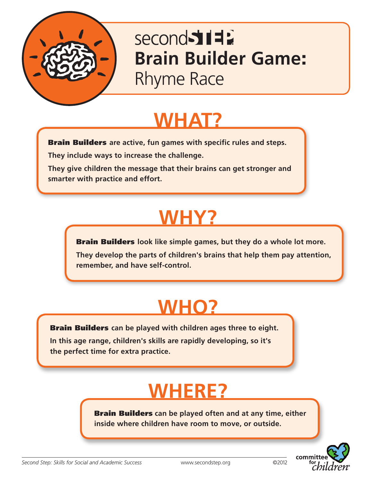

### second 517 **Brain Builder Game**: Rhyme Race

**WHAT?**

Brain Builders **are active, fun games with specific rules and steps.**

**They include ways to increase the challenge.** 

**They give children the message that their brains can get stronger and smarter with practice and effort.**

## **WHY?**

Brain Builders **look like simple games, but they do a whole lot more. They develop the parts of children's brains that help them pay attention, remember, and have self-control.**

### **WHO?**

Brain Builders **can be played with children ages three to eight.** 

**In this age range, children's skills are rapidly developing, so it's the perfect time for extra practice.**

## **WHERE?**

Brain Builders **can be played often and at any time, either inside where children have room to move, or outside.**